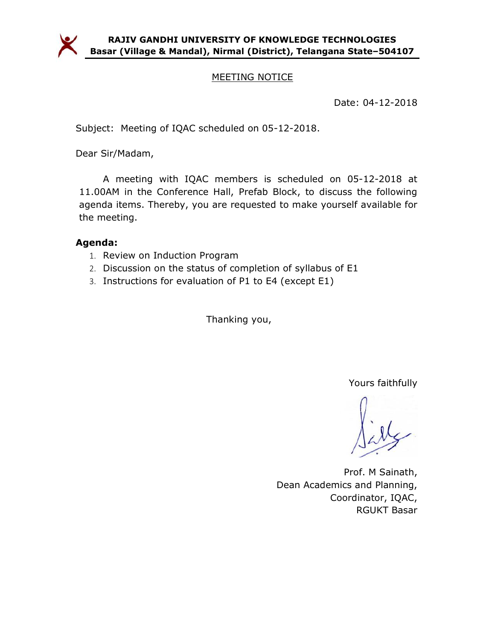

## MEETING NOTICE

Date: 04-12-2018

Subject: Meeting of IQAC scheduled on 05-12-2018.

Dear Sir/Madam,

A meeting with IQAC members is scheduled on 05-12-2018 at 11.00AM in the Conference Hall, Prefab Block, to discuss the following agenda items. Thereby, you are requested to make yourself available for the meeting.

## Agenda:

- 1. Review on Induction Program
- 2. Discussion on the status of completion of syllabus of E1
- 3. Instructions for evaluation of P1 to E4 (except E1)

Thanking you,

Yours faithfully

Prof. M Sainath, Dean Academics and Planning, Coordinator, IQAC, RGUKT Basar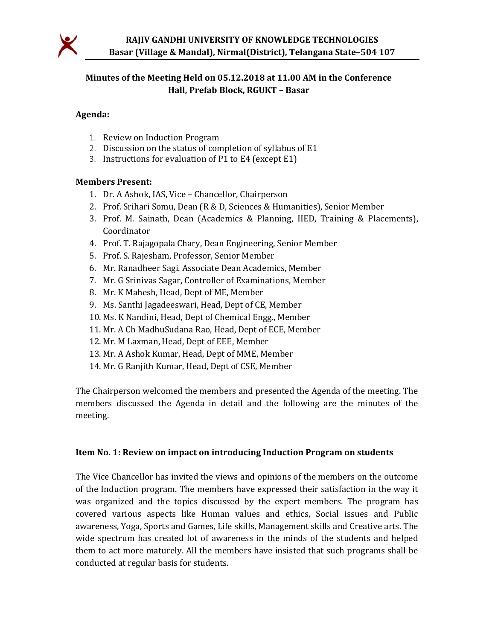

## Minutes of the Meeting Held on 05.12.2018 at 11.00 AM in the Conference Hall, Prefab Block, RGUKT – Basar

#### Agenda:

- 1. Review on Induction Program
- 2. Discussion on the status of completion of syllabus of E1
- 3. Instructions for evaluation of P1 to E4 (except E1)

#### Members Present:

- 1. Dr. A Ashok, IAS, Vice Chancellor, Chairperson
- 2. Prof. Srihari Somu, Dean (R & D, Sciences & Humanities), Senior Member
- 3. Prof. M. Sainath, Dean (Academics & Planning, IIED, Training & Placements), Coordinator
- 4. Prof. T. Rajagopala Chary, Dean Engineering, Senior Member
- 5. Prof. S. Rajesham, Professor, Senior Member
- 6. Mr. Ranadheer Sagi. Associate Dean Academics, Member
- 7. Mr. G Srinivas Sagar, Controller of Examinations, Member
- 8. Mr. K Mahesh, Head, Dept of ME, Member
- 9. Ms. Santhi Jagadeeswari, Head, Dept of CE, Member
- 10. Ms. K Nandini, Head, Dept of Chemical Engg., Member
- 11. Mr. A Ch MadhuSudana Rao, Head, Dept of ECE, Member
- 12. Mr. M Laxman, Head, Dept of EEE, Member
- 13. Mr. A Ashok Kumar, Head, Dept of MME, Member
- 14. Mr. G Ranjith Kumar, Head, Dept of CSE, Member

The Chairperson welcomed the members and presented the Agenda of the meeting. The members discussed the Agenda in detail and the following are the minutes of the meeting.

#### Item No. 1: Review on impact on introducing Induction Program on students

The Vice Chancellor has invited the views and opinions of the members on the outcome of the Induction program. The members have expressed their satisfaction in the way it was organized and the topics discussed by the expert members. The program has covered various aspects like Human values and ethics, Social issues and Public awareness, Yoga, Sports and Games, Life skills, Management skills and Creative arts. The wide spectrum has created lot of awareness in the minds of the students and helped them to act more maturely. All the members have insisted that such programs shall be conducted at regular basis for students.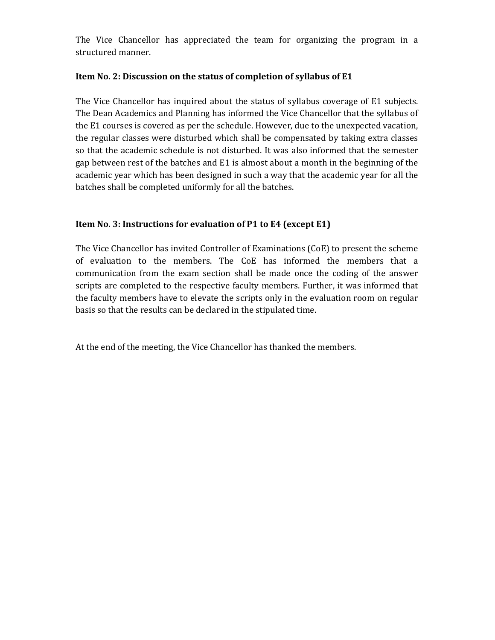The Vice Chancellor has appreciated the team for organizing the program in a structured manner.

#### Item No. 2: Discussion on the status of completion of syllabus of E1

The Vice Chancellor has inquired about the status of syllabus coverage of E1 subjects. The Dean Academics and Planning has informed the Vice Chancellor that the syllabus of the E1 courses is covered as per the schedule. However, due to the unexpected vacation, the regular classes were disturbed which shall be compensated by taking extra classes so that the academic schedule is not disturbed. It was also informed that the semester gap between rest of the batches and E1 is almost about a month in the beginning of the academic year which has been designed in such a way that the academic year for all the batches shall be completed uniformly for all the batches.

### Item No. 3: Instructions for evaluation of P1 to E4 (except E1)

The Vice Chancellor has invited Controller of Examinations (CoE) to present the scheme of evaluation to the members. The CoE has informed the members that a communication from the exam section shall be made once the coding of the answer scripts are completed to the respective faculty members. Further, it was informed that the faculty members have to elevate the scripts only in the evaluation room on regular basis so that the results can be declared in the stipulated time.

At the end of the meeting, the Vice Chancellor has thanked the members.